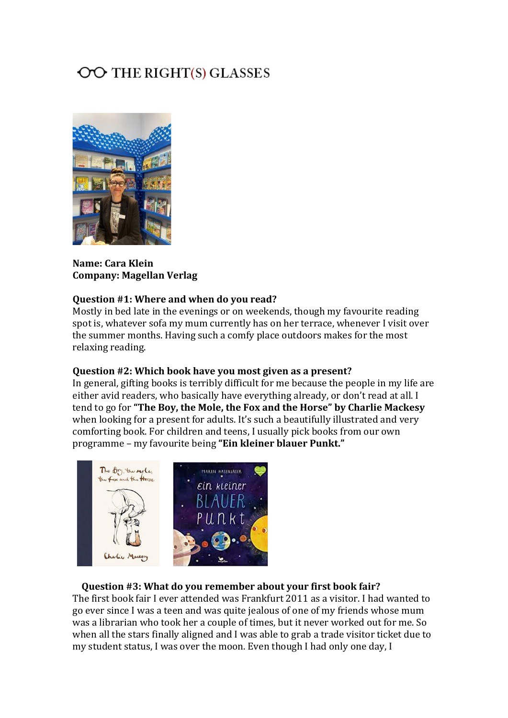# OO THE RIGHT(S) GLASSES



**Name: Cara Klein Company: Magellan Verlag**

#### **Question #1: Where and when do you read?**

Mostly in bed late in the evenings or on weekends, though my favourite reading spot is, whatever sofa my mum currently has on her terrace, whenever I visit over the summer months. Having such a comfy place outdoors makes for the most relaxing reading.

#### **Question #2: Which book have you most given as a present?**

In general, gifting books is terribly difficult for me because the people in my life are either avid readers, who basically have everything already, or don't read at all. I tend to go for **"The Boy, the Mole, the Fox and the Horse" by Charlie Mackesy** when looking for a present for adults. It's such a beautifully illustrated and very comforting book. For children and teens, I usually pick books from our own programme – my favourite being **"Ein kleiner blauer Punkt."**



#### **Question #3: What do you remember about your first book fair?**

The first book fair I ever attended was Frankfurt 2011 as a visitor. I had wanted to go ever since I was a teen and was quite jealous of one of my friends whose mum was a librarian who took her a couple of times, but it never worked out for me. So when all the stars finally aligned and I was able to grab a trade visitor ticket due to my student status, I was over the moon. Even though I had only one day, I